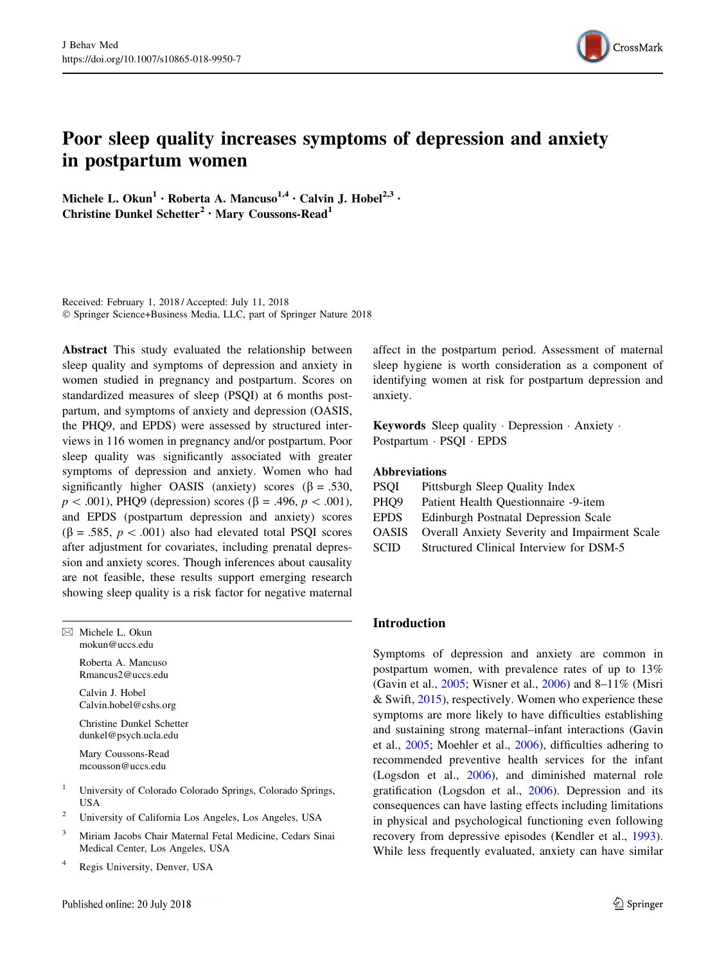

Michele L. Okun<sup>1</sup> · Roberta A. Mancuso<sup>1,4</sup> · Calvin J. Hobel<sup>2,3</sup> · Christine Dunkel Schetter<sup>2</sup> · Mary Coussons-Read<sup>1</sup>

Received: February 1, 2018 / Accepted: July 11, 2018 - Springer Science+Business Media, LLC, part of Springer Nature 2018

Abstract This study evaluated the relationship between sleep quality and symptoms of depression and anxiety in women studied in pregnancy and postpartum. Scores on standardized measures of sleep (PSQI) at 6 months postpartum, and symptoms of anxiety and depression (OASIS, the PHQ9, and EPDS) were assessed by structured interviews in 116 women in pregnancy and/or postpartum. Poor sleep quality was significantly associated with greater symptoms of depression and anxiety. Women who had significantly higher OASIS (anxiety) scores ( $\beta$  = .530,  $p \lt .001$ ), PHQ9 (depression) scores ( $\beta = .496, p \lt .001$ ), and EPDS (postpartum depression and anxiety) scores ( $\beta$  = .585,  $p < .001$ ) also had elevated total PSQI scores after adjustment for covariates, including prenatal depression and anxiety scores. Though inferences about causality are not feasible, these results support emerging research showing sleep quality is a risk factor for negative maternal

|   | Michele L. Okun<br>mokun@uccs.edu                                 |
|---|-------------------------------------------------------------------|
|   | Roberta A. Mancuso<br>$R$ mancus $2@$ uccs.edu                    |
|   | Calvin J. Hobel<br>Calvin.hobel@cshs.org                          |
|   | Christine Dunkel Schetter<br>dunkel@psych.ucla.edu                |
|   | Mary Coussons-Read<br>mcousson@uccs.edu                           |
| 1 | University of Colorado Colorado Springs, Colorado Springs,<br>USA |
| 2 | University of California Los Angeles, Los Angeles, USA            |

- <sup>3</sup> Miriam Jacobs Chair Maternal Fetal Medicine, Cedars Sinai Medical Center, Los Angeles, USA
- <sup>4</sup> Regis University, Denver, USA

affect in the postpartum period. Assessment of maternal sleep hygiene is worth consideration as a component of identifying women at risk for postpartum depression and anxiety.

Keywords Sleep quality - Depression - Anxiety - Postpartum · PSQI · EPDS

### Abbreviations

| PSOI             | Pittsburgh Sleep Quality Index                |
|------------------|-----------------------------------------------|
| PHQ <sub>9</sub> | Patient Health Ouestionnaire -9-item          |
| <b>EPDS</b>      | Edinburgh Postnatal Depression Scale          |
| OASIS            | Overall Anxiety Severity and Impairment Scale |
| <b>SCID</b>      | Structured Clinical Interview for DSM-5       |

# Introduction

Symptoms of depression and anxiety are common in postpartum women, with prevalence rates of up to 13% (Gavin et al., [2005;](#page-6-0) Wisner et al., [2006\)](#page-7-0) and 8–11% (Misri & Swift, [2015\)](#page-7-0), respectively. Women who experience these symptoms are more likely to have difficulties establishing and sustaining strong maternal–infant interactions (Gavin et al., [2005;](#page-6-0) Moehler et al., [2006](#page-7-0)), difficulties adhering to recommended preventive health services for the infant (Logsdon et al., [2006](#page-7-0)), and diminished maternal role gratification (Logsdon et al., [2006\)](#page-7-0). Depression and its consequences can have lasting effects including limitations in physical and psychological functioning even following recovery from depressive episodes (Kendler et al., [1993](#page-6-0)). While less frequently evaluated, anxiety can have similar

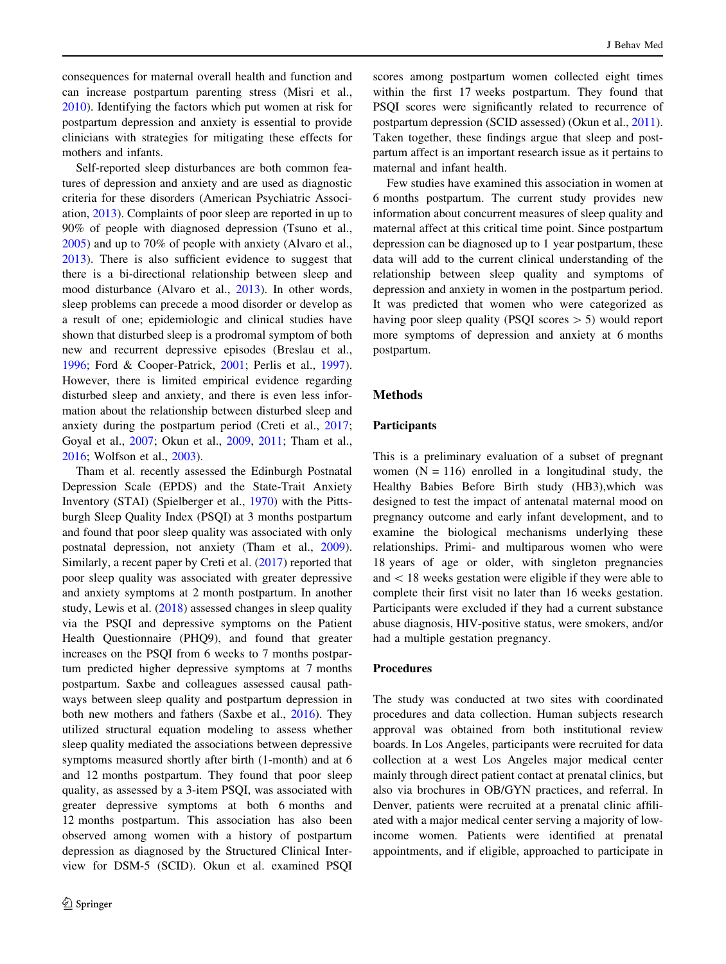consequences for maternal overall health and function and can increase postpartum parenting stress (Misri et al., [2010\)](#page-7-0). Identifying the factors which put women at risk for postpartum depression and anxiety is essential to provide clinicians with strategies for mitigating these effects for mothers and infants.

Self-reported sleep disturbances are both common features of depression and anxiety and are used as diagnostic criteria for these disorders (American Psychiatric Association, [2013](#page-6-0)). Complaints of poor sleep are reported in up to 90% of people with diagnosed depression (Tsuno et al., [2005\)](#page-7-0) and up to 70% of people with anxiety (Alvaro et al., [2013\)](#page-6-0). There is also sufficient evidence to suggest that there is a bi-directional relationship between sleep and mood disturbance (Alvaro et al., [2013\)](#page-6-0). In other words, sleep problems can precede a mood disorder or develop as a result of one; epidemiologic and clinical studies have shown that disturbed sleep is a prodromal symptom of both new and recurrent depressive episodes (Breslau et al., [1996;](#page-6-0) Ford & Cooper-Patrick, [2001](#page-6-0); Perlis et al., [1997](#page-7-0)). However, there is limited empirical evidence regarding disturbed sleep and anxiety, and there is even less information about the relationship between disturbed sleep and anxiety during the postpartum period (Creti et al., [2017](#page-6-0); Goyal et al., [2007](#page-6-0); Okun et al., [2009,](#page-7-0) [2011](#page-7-0); Tham et al., [2016;](#page-7-0) Wolfson et al., [2003](#page-7-0)).

Tham et al. recently assessed the Edinburgh Postnatal Depression Scale (EPDS) and the State-Trait Anxiety Inventory (STAI) (Spielberger et al., [1970\)](#page-7-0) with the Pittsburgh Sleep Quality Index (PSQI) at 3 months postpartum and found that poor sleep quality was associated with only postnatal depression, not anxiety (Tham et al., [2009](#page-7-0)). Similarly, a recent paper by Creti et al. [\(2017](#page-6-0)) reported that poor sleep quality was associated with greater depressive and anxiety symptoms at 2 month postpartum. In another study, Lewis et al. [\(2018](#page-6-0)) assessed changes in sleep quality via the PSQI and depressive symptoms on the Patient Health Questionnaire (PHQ9), and found that greater increases on the PSQI from 6 weeks to 7 months postpartum predicted higher depressive symptoms at 7 months postpartum. Saxbe and colleagues assessed causal pathways between sleep quality and postpartum depression in both new mothers and fathers (Saxbe et al., [2016\)](#page-7-0). They utilized structural equation modeling to assess whether sleep quality mediated the associations between depressive symptoms measured shortly after birth (1-month) and at 6 and 12 months postpartum. They found that poor sleep quality, as assessed by a 3-item PSQI, was associated with greater depressive symptoms at both 6 months and 12 months postpartum. This association has also been observed among women with a history of postpartum depression as diagnosed by the Structured Clinical Interview for DSM-5 (SCID). Okun et al. examined PSQI scores among postpartum women collected eight times within the first 17 weeks postpartum. They found that PSQI scores were significantly related to recurrence of postpartum depression (SCID assessed) (Okun et al., [2011](#page-7-0)). Taken together, these findings argue that sleep and postpartum affect is an important research issue as it pertains to maternal and infant health.

Few studies have examined this association in women at 6 months postpartum. The current study provides new information about concurrent measures of sleep quality and maternal affect at this critical time point. Since postpartum depression can be diagnosed up to 1 year postpartum, these data will add to the current clinical understanding of the relationship between sleep quality and symptoms of depression and anxiety in women in the postpartum period. It was predicted that women who were categorized as having poor sleep quality (PSQI scores  $> 5$ ) would report more symptoms of depression and anxiety at 6 months postpartum.

#### Methods

### Participants

This is a preliminary evaluation of a subset of pregnant women  $(N = 116)$  enrolled in a longitudinal study, the Healthy Babies Before Birth study (HB3),which was designed to test the impact of antenatal maternal mood on pregnancy outcome and early infant development, and to examine the biological mechanisms underlying these relationships. Primi- and multiparous women who were 18 years of age or older, with singleton pregnancies and  $\langle 18 \rangle$  weeks gestation were eligible if they were able to complete their first visit no later than 16 weeks gestation. Participants were excluded if they had a current substance abuse diagnosis, HIV-positive status, were smokers, and/or had a multiple gestation pregnancy.

## Procedures

The study was conducted at two sites with coordinated procedures and data collection. Human subjects research approval was obtained from both institutional review boards. In Los Angeles, participants were recruited for data collection at a west Los Angeles major medical center mainly through direct patient contact at prenatal clinics, but also via brochures in OB/GYN practices, and referral. In Denver, patients were recruited at a prenatal clinic affiliated with a major medical center serving a majority of lowincome women. Patients were identified at prenatal appointments, and if eligible, approached to participate in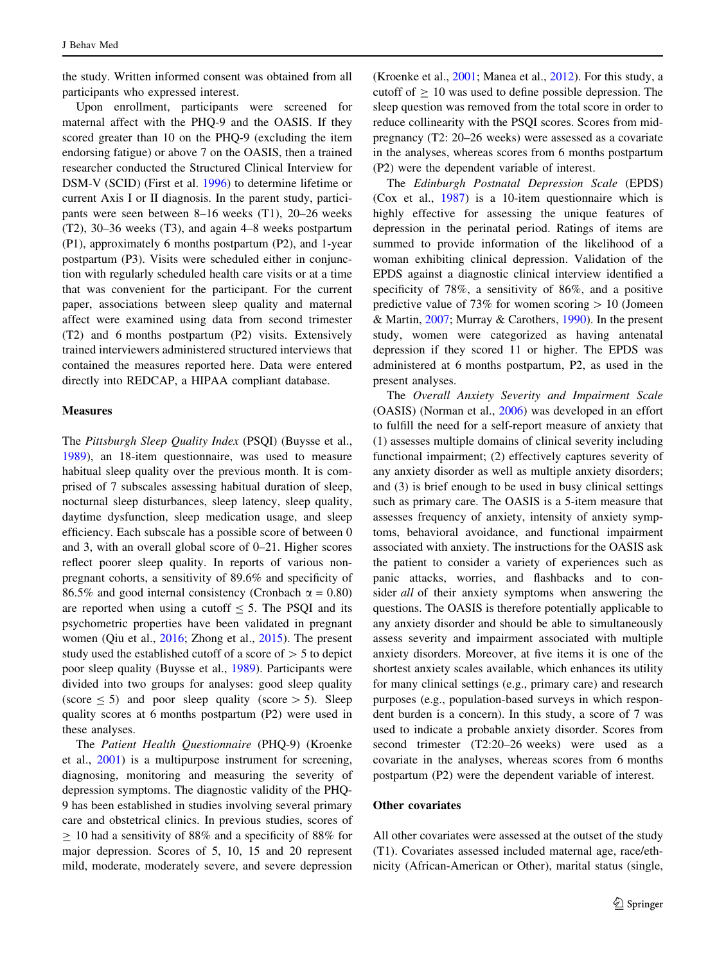the study. Written informed consent was obtained from all participants who expressed interest.

Upon enrollment, participants were screened for maternal affect with the PHQ-9 and the OASIS. If they scored greater than 10 on the PHQ-9 (excluding the item endorsing fatigue) or above 7 on the OASIS, then a trained researcher conducted the Structured Clinical Interview for DSM-V (SCID) (First et al. [1996](#page-6-0)) to determine lifetime or current Axis I or II diagnosis. In the parent study, participants were seen between 8–16 weeks (T1), 20–26 weeks (T2), 30–36 weeks (T3), and again 4–8 weeks postpartum (P1), approximately 6 months postpartum (P2), and 1-year postpartum (P3). Visits were scheduled either in conjunction with regularly scheduled health care visits or at a time that was convenient for the participant. For the current paper, associations between sleep quality and maternal affect were examined using data from second trimester (T2) and 6 months postpartum (P2) visits. Extensively trained interviewers administered structured interviews that contained the measures reported here. Data were entered directly into REDCAP, a HIPAA compliant database.

#### **Measures**

The Pittsburgh Sleep Quality Index (PSQI) (Buysse et al., [1989\)](#page-6-0), an 18-item questionnaire, was used to measure habitual sleep quality over the previous month. It is comprised of 7 subscales assessing habitual duration of sleep, nocturnal sleep disturbances, sleep latency, sleep quality, daytime dysfunction, sleep medication usage, and sleep efficiency. Each subscale has a possible score of between 0 and 3, with an overall global score of 0–21. Higher scores reflect poorer sleep quality. In reports of various nonpregnant cohorts, a sensitivity of 89.6% and specificity of 86.5% and good internal consistency (Cronbach  $\alpha = 0.80$ ) are reported when using a cutoff  $\leq 5$ . The PSQI and its psychometric properties have been validated in pregnant women (Qiu et al., [2016](#page-7-0); Zhong et al., [2015](#page-7-0)). The present study used the established cutoff of a score of  $> 5$  to depict poor sleep quality (Buysse et al., [1989\)](#page-6-0). Participants were divided into two groups for analyses: good sleep quality (score  $\leq$  5) and poor sleep quality (score  $>$  5). Sleep quality scores at 6 months postpartum (P2) were used in these analyses.

The Patient Health Questionnaire (PHQ-9) (Kroenke et al., [2001\)](#page-6-0) is a multipurpose instrument for screening, diagnosing, monitoring and measuring the severity of depression symptoms. The diagnostic validity of the PHQ-9 has been established in studies involving several primary care and obstetrical clinics. In previous studies, scores of  $\geq$  10 had a sensitivity of 88% and a specificity of 88% for major depression. Scores of 5, 10, 15 and 20 represent mild, moderate, moderately severe, and severe depression (Kroenke et al., [2001](#page-6-0); Manea et al., [2012](#page-7-0)). For this study, a cutoff of  $\geq 10$  was used to define possible depression. The sleep question was removed from the total score in order to reduce collinearity with the PSQI scores. Scores from midpregnancy (T2: 20–26 weeks) were assessed as a covariate in the analyses, whereas scores from 6 months postpartum (P2) were the dependent variable of interest.

The Edinburgh Postnatal Depression Scale (EPDS) (Cox et al., [1987\)](#page-6-0) is a 10-item questionnaire which is highly effective for assessing the unique features of depression in the perinatal period. Ratings of items are summed to provide information of the likelihood of a woman exhibiting clinical depression. Validation of the EPDS against a diagnostic clinical interview identified a specificity of 78%, a sensitivity of 86%, and a positive predictive value of 73% for women scoring  $> 10$  (Jomeen & Martin, [2007;](#page-6-0) Murray & Carothers, [1990](#page-7-0)). In the present study, women were categorized as having antenatal depression if they scored 11 or higher. The EPDS was administered at 6 months postpartum, P2, as used in the present analyses.

The Overall Anxiety Severity and Impairment Scale (OASIS) (Norman et al., [2006](#page-7-0)) was developed in an effort to fulfill the need for a self-report measure of anxiety that (1) assesses multiple domains of clinical severity including functional impairment; (2) effectively captures severity of any anxiety disorder as well as multiple anxiety disorders; and (3) is brief enough to be used in busy clinical settings such as primary care. The OASIS is a 5-item measure that assesses frequency of anxiety, intensity of anxiety symptoms, behavioral avoidance, and functional impairment associated with anxiety. The instructions for the OASIS ask the patient to consider a variety of experiences such as panic attacks, worries, and flashbacks and to consider *all* of their anxiety symptoms when answering the questions. The OASIS is therefore potentially applicable to any anxiety disorder and should be able to simultaneously assess severity and impairment associated with multiple anxiety disorders. Moreover, at five items it is one of the shortest anxiety scales available, which enhances its utility for many clinical settings (e.g., primary care) and research purposes (e.g., population-based surveys in which respondent burden is a concern). In this study, a score of 7 was used to indicate a probable anxiety disorder. Scores from second trimester (T2:20–26 weeks) were used as a covariate in the analyses, whereas scores from 6 months postpartum (P2) were the dependent variable of interest.

#### Other covariates

All other covariates were assessed at the outset of the study (T1). Covariates assessed included maternal age, race/ethnicity (African-American or Other), marital status (single,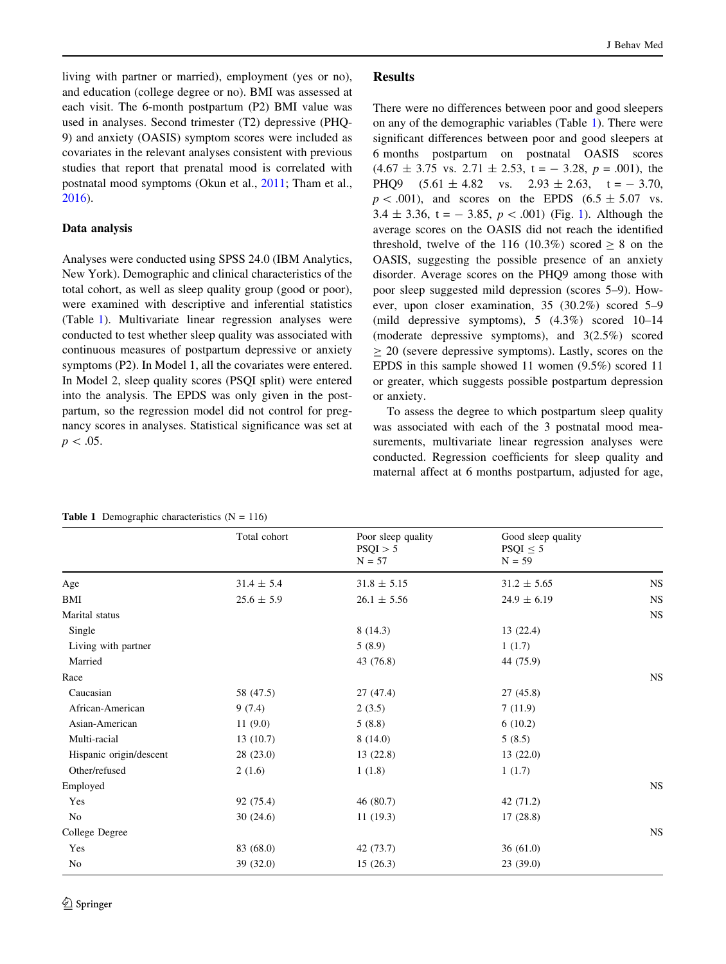living with partner or married), employment (yes or no), and education (college degree or no). BMI was assessed at each visit. The 6-month postpartum (P2) BMI value was used in analyses. Second trimester (T2) depressive (PHQ-9) and anxiety (OASIS) symptom scores were included as covariates in the relevant analyses consistent with previous studies that report that prenatal mood is correlated with postnatal mood symptoms (Okun et al., [2011](#page-7-0); Tham et al., [2016\)](#page-7-0).

### Data analysis

Analyses were conducted using SPSS 24.0 (IBM Analytics, New York). Demographic and clinical characteristics of the total cohort, as well as sleep quality group (good or poor), were examined with descriptive and inferential statistics (Table 1). Multivariate linear regression analyses were conducted to test whether sleep quality was associated with continuous measures of postpartum depressive or anxiety symptoms (P2). In Model 1, all the covariates were entered. In Model 2, sleep quality scores (PSQI split) were entered into the analysis. The EPDS was only given in the postpartum, so the regression model did not control for pregnancy scores in analyses. Statistical significance was set at  $p < .05$ .

# **Results**

There were no differences between poor and good sleepers on any of the demographic variables (Table 1). There were significant differences between poor and good sleepers at 6 months postpartum on postnatal OASIS scores  $(4.67 \pm 3.75 \text{ vs. } 2.71 \pm 2.53, t = -3.28, p = .001)$ , the PHQ9  $(5.61 \pm 4.82 \text{ vs. } 2.93 \pm 2.63, \text{ t} = -3.70,$  $p < .001$ ), and scores on the EPDS (6.5  $\pm$  5.07 vs. 3.4  $\pm$  3.36, t = - 3.85, p < .00[1](#page-4-0)) (Fig. 1). Although the average scores on the OASIS did not reach the identified threshold, twelve of the 116 (10.3%) scored  $\geq 8$  on the OASIS, suggesting the possible presence of an anxiety disorder. Average scores on the PHQ9 among those with poor sleep suggested mild depression (scores 5–9). However, upon closer examination, 35 (30.2%) scored 5–9 (mild depressive symptoms), 5 (4.3%) scored 10–14 (moderate depressive symptoms), and 3(2.5%) scored  $\geq$  20 (severe depressive symptoms). Lastly, scores on the EPDS in this sample showed 11 women (9.5%) scored 11 or greater, which suggests possible postpartum depression or anxiety.

To assess the degree to which postpartum sleep quality was associated with each of the 3 postnatal mood measurements, multivariate linear regression analyses were conducted. Regression coefficients for sleep quality and maternal affect at 6 months postpartum, adjusted for age,

#### **Table 1** Demographic characteristics  $(N = 116)$

|                         | Total cohort   | Poor sleep quality   | Good sleep quality        |             |
|-------------------------|----------------|----------------------|---------------------------|-------------|
|                         |                | PSQI > 5<br>$N = 57$ | $PSQI \leq 5$<br>$N = 59$ |             |
| Age                     | $31.4 \pm 5.4$ | $31.8 \pm 5.15$      | $31.2 \pm 5.65$           | <b>NS</b>   |
| BMI                     | $25.6 \pm 5.9$ | $26.1 \pm 5.56$      | $24.9 \pm 6.19$           | <b>NS</b>   |
| Marital status          |                |                      |                           | <b>NS</b>   |
| Single                  |                | 8(14.3)              | 13(22.4)                  |             |
| Living with partner     |                | 5(8.9)               | 1(1.7)                    |             |
| Married                 |                | 43 (76.8)            | 44 (75.9)                 |             |
| Race                    |                |                      |                           | <b>NS</b>   |
| Caucasian               | 58 (47.5)      | 27(47.4)             | 27(45.8)                  |             |
| African-American        | 9(7.4)         | 2(3.5)               | 7(11.9)                   |             |
| Asian-American          | 11(9.0)        | 5(8.8)               | 6(10.2)                   |             |
| Multi-racial            | 13(10.7)       | 8(14.0)              | 5(8.5)                    |             |
| Hispanic origin/descent | 28(23.0)       | 13(22.8)             | 13(22.0)                  |             |
| Other/refused           | 2(1.6)         | 1(1.8)               | 1(1.7)                    |             |
| Employed                |                |                      |                           | $_{\rm NS}$ |
| Yes                     | 92 (75.4)      | 46 (80.7)            | 42 (71.2)                 |             |
| No                      | 30(24.6)       | 11(19.3)             | 17(28.8)                  |             |
| College Degree          |                |                      |                           | $_{\rm NS}$ |
| Yes                     | 83 (68.0)      | 42 (73.7)            | 36(61.0)                  |             |
| No                      | 39(32.0)       | 15(26.3)             | 23(39.0)                  |             |
|                         |                |                      |                           |             |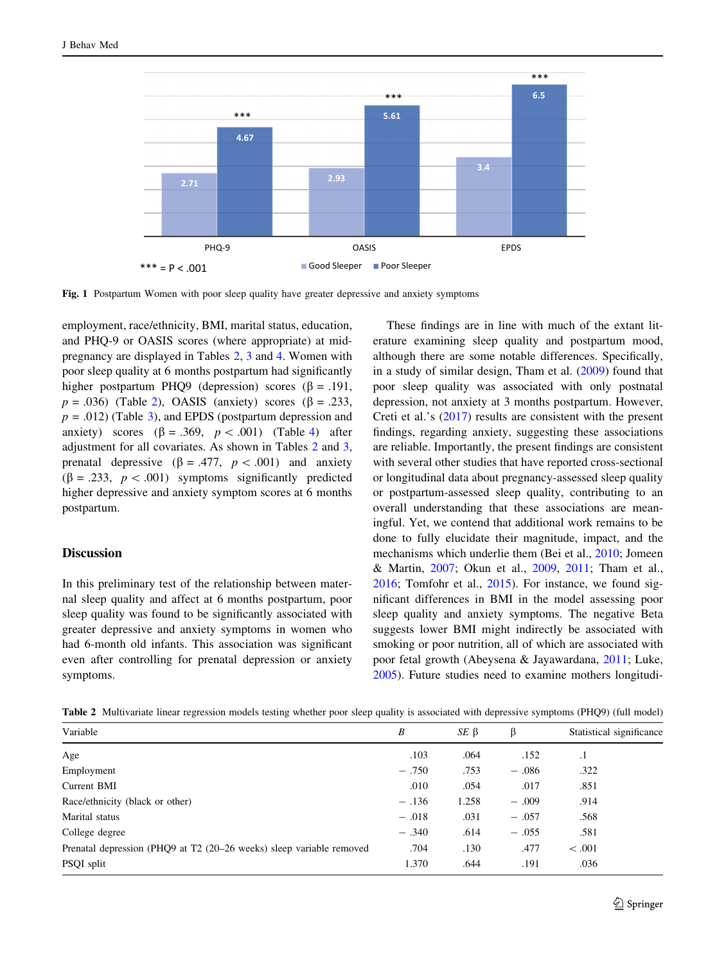<span id="page-4-0"></span>

Fig. 1 Postpartum Women with poor sleep quality have greater depressive and anxiety symptoms

employment, race/ethnicity, BMI, marital status, education, and PHQ-9 or OASIS scores (where appropriate) at midpregnancy are displayed in Tables 2, [3](#page-5-0) and [4.](#page-5-0) Women with poor sleep quality at 6 months postpartum had significantly higher postpartum PHQ9 (depression) scores ( $\beta$  = .191,  $p = .036$ ) (Table 2), OASIS (anxiety) scores ( $\beta = .233$ ,  $p = .012$ ) (Table [3](#page-5-0)), and EPDS (postpartum depression and anxiety) scores  $(\beta = .369, p < .001)$  (Table [4\)](#page-5-0) after adjustment for all covariates. As shown in Tables 2 and [3,](#page-5-0) prenatal depressive  $(\beta = .477, p < .001)$  and anxiety  $(\beta = .233, p < .001)$  symptoms significantly predicted higher depressive and anxiety symptom scores at 6 months postpartum.

## **Discussion**

In this preliminary test of the relationship between maternal sleep quality and affect at 6 months postpartum, poor sleep quality was found to be significantly associated with greater depressive and anxiety symptoms in women who had 6-month old infants. This association was significant even after controlling for prenatal depression or anxiety symptoms.

These findings are in line with much of the extant literature examining sleep quality and postpartum mood, although there are some notable differences. Specifically, in a study of similar design, Tham et al. [\(2009](#page-7-0)) found that poor sleep quality was associated with only postnatal depression, not anxiety at 3 months postpartum. However, Creti et al.'s ([2017\)](#page-6-0) results are consistent with the present findings, regarding anxiety, suggesting these associations are reliable. Importantly, the present findings are consistent with several other studies that have reported cross-sectional or longitudinal data about pregnancy-assessed sleep quality or postpartum-assessed sleep quality, contributing to an overall understanding that these associations are meaningful. Yet, we contend that additional work remains to be done to fully elucidate their magnitude, impact, and the mechanisms which underlie them (Bei et al., [2010](#page-6-0); Jomeen & Martin, [2007](#page-6-0); Okun et al., [2009,](#page-7-0) [2011](#page-7-0); Tham et al., [2016](#page-7-0); Tomfohr et al., [2015\)](#page-7-0). For instance, we found significant differences in BMI in the model assessing poor sleep quality and anxiety symptoms. The negative Beta suggests lower BMI might indirectly be associated with smoking or poor nutrition, all of which are associated with poor fetal growth (Abeysena & Jayawardana, [2011](#page-6-0); Luke, [2005](#page-7-0)). Future studies need to examine mothers longitudi-

Table 2 Multivariate linear regression models testing whether poor sleep quality is associated with depressive symptoms (PHQ9) (full model)

| Variable                                                             | B       | SE B  | β       | Statistical significance |
|----------------------------------------------------------------------|---------|-------|---------|--------------------------|
| Age                                                                  | .103    | .064  | .152    | $\cdot^1$                |
| Employment                                                           | $-.750$ | .753  | $-.086$ | .322                     |
| Current BMI                                                          | .010    | .054  | .017    | .851                     |
| Race/ethnicity (black or other)                                      | $-.136$ | 1.258 | $-.009$ | .914                     |
| Marital status                                                       | $-.018$ | .031  | $-.057$ | .568                     |
| College degree                                                       | $-.340$ | .614  | $-.055$ | .581                     |
| Prenatal depression (PHO9 at T2 (20–26 weeks) sleep variable removed | .704    | .130  | .477    | < .001                   |
| PSQI split                                                           | 1.370   | .644  | .191    | .036                     |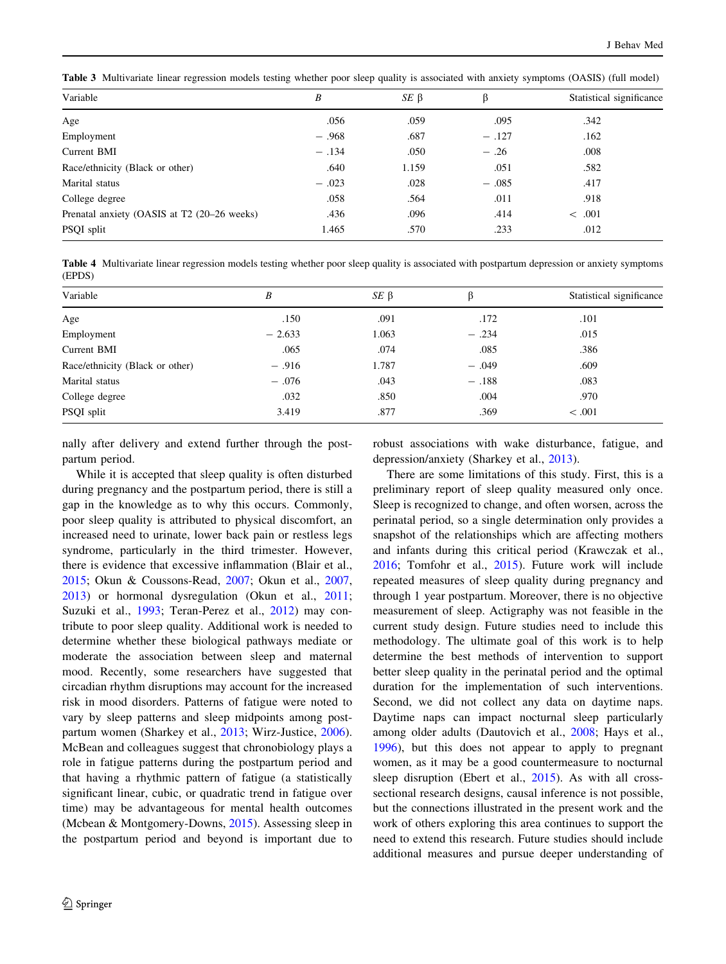<span id="page-5-0"></span>Table 3 Multivariate linear regression models testing whether poor sleep quality is associated with anxiety symptoms (OASIS) (full model)

| Variable                                    | B       | $SE$ $\beta$ | β       | Statistical significance |
|---------------------------------------------|---------|--------------|---------|--------------------------|
| Age                                         | .056    | .059         | .095    | .342                     |
| Employment                                  | $-.968$ | .687         | $-.127$ | .162                     |
| Current BMI                                 | $-.134$ | .050         | $-.26$  | .008                     |
| Race/ethnicity (Black or other)             | .640    | 1.159        | .051    | .582                     |
| Marital status                              | $-.023$ | .028         | $-.085$ | .417                     |
| College degree                              | .058    | .564         | .011    | .918                     |
| Prenatal anxiety (OASIS at T2 (20–26 weeks) | .436    | .096         | .414    | < .001                   |
| PSQI split                                  | 1.465   | .570         | .233    | .012                     |

Table 4 Multivariate linear regression models testing whether poor sleep quality is associated with postpartum depression or anxiety symptoms (EPDS)

| Variable                        | B        | $SE$ $\beta$ | β       | Statistical significance |
|---------------------------------|----------|--------------|---------|--------------------------|
| Age                             | .150     | .091         | .172    | .101                     |
| Employment                      | $-2.633$ | 1.063        | $-.234$ | .015                     |
| Current BMI                     | .065     | .074         | .085    | .386                     |
| Race/ethnicity (Black or other) | $-.916$  | 1.787        | $-.049$ | .609                     |
| Marital status                  | $-.076$  | .043         | $-.188$ | .083                     |
| College degree                  | .032     | .850         | .004    | .970                     |
| PSQI split                      | 3.419    | .877         | .369    | < 0.001                  |

nally after delivery and extend further through the postpartum period.

While it is accepted that sleep quality is often disturbed during pregnancy and the postpartum period, there is still a gap in the knowledge as to why this occurs. Commonly, poor sleep quality is attributed to physical discomfort, an increased need to urinate, lower back pain or restless legs syndrome, particularly in the third trimester. However, there is evidence that excessive inflammation (Blair et al., [2015;](#page-6-0) Okun & Coussons-Read, [2007](#page-7-0); Okun et al., [2007,](#page-7-0) [2013\)](#page-7-0) or hormonal dysregulation (Okun et al., [2011](#page-7-0); Suzuki et al., [1993](#page-7-0); Teran-Perez et al., [2012\)](#page-7-0) may contribute to poor sleep quality. Additional work is needed to determine whether these biological pathways mediate or moderate the association between sleep and maternal mood. Recently, some researchers have suggested that circadian rhythm disruptions may account for the increased risk in mood disorders. Patterns of fatigue were noted to vary by sleep patterns and sleep midpoints among postpartum women (Sharkey et al., [2013;](#page-7-0) Wirz-Justice, [2006](#page-7-0)). McBean and colleagues suggest that chronobiology plays a role in fatigue patterns during the postpartum period and that having a rhythmic pattern of fatigue (a statistically significant linear, cubic, or quadratic trend in fatigue over time) may be advantageous for mental health outcomes (Mcbean & Montgomery-Downs, [2015\)](#page-7-0). Assessing sleep in the postpartum period and beyond is important due to

robust associations with wake disturbance, fatigue, and depression/anxiety (Sharkey et al., [2013](#page-7-0)).

There are some limitations of this study. First, this is a preliminary report of sleep quality measured only once. Sleep is recognized to change, and often worsen, across the perinatal period, so a single determination only provides a snapshot of the relationships which are affecting mothers and infants during this critical period (Krawczak et al., [2016](#page-6-0); Tomfohr et al., [2015](#page-7-0)). Future work will include repeated measures of sleep quality during pregnancy and through 1 year postpartum. Moreover, there is no objective measurement of sleep. Actigraphy was not feasible in the current study design. Future studies need to include this methodology. The ultimate goal of this work is to help determine the best methods of intervention to support better sleep quality in the perinatal period and the optimal duration for the implementation of such interventions. Second, we did not collect any data on daytime naps. Daytime naps can impact nocturnal sleep particularly among older adults (Dautovich et al., [2008](#page-6-0); Hays et al., [1996](#page-6-0)), but this does not appear to apply to pregnant women, as it may be a good countermeasure to nocturnal sleep disruption (Ebert et al., [2015](#page-6-0)). As with all crosssectional research designs, causal inference is not possible, but the connections illustrated in the present work and the work of others exploring this area continues to support the need to extend this research. Future studies should include additional measures and pursue deeper understanding of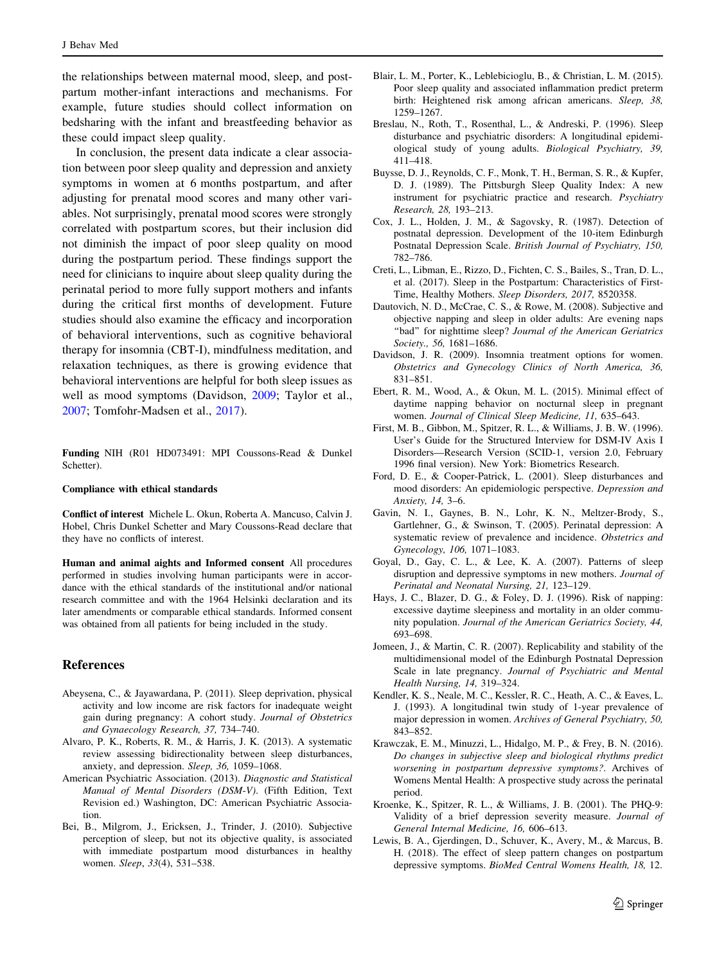<span id="page-6-0"></span>the relationships between maternal mood, sleep, and postpartum mother-infant interactions and mechanisms. For example, future studies should collect information on bedsharing with the infant and breastfeeding behavior as these could impact sleep quality.

In conclusion, the present data indicate a clear association between poor sleep quality and depression and anxiety symptoms in women at 6 months postpartum, and after adjusting for prenatal mood scores and many other variables. Not surprisingly, prenatal mood scores were strongly correlated with postpartum scores, but their inclusion did not diminish the impact of poor sleep quality on mood during the postpartum period. These findings support the need for clinicians to inquire about sleep quality during the perinatal period to more fully support mothers and infants during the critical first months of development. Future studies should also examine the efficacy and incorporation of behavioral interventions, such as cognitive behavioral therapy for insomnia (CBT-I), mindfulness meditation, and relaxation techniques, as there is growing evidence that behavioral interventions are helpful for both sleep issues as well as mood symptoms (Davidson, 2009; Taylor et al., [2007;](#page-7-0) Tomfohr-Madsen et al., [2017](#page-7-0)).

Funding NIH (R01 HD073491: MPI Coussons-Read & Dunkel Schetter).

#### Compliance with ethical standards

Conflict of interest Michele L. Okun, Roberta A. Mancuso, Calvin J. Hobel, Chris Dunkel Schetter and Mary Coussons-Read declare that they have no conflicts of interest.

Human and animal aights and Informed consent All procedures performed in studies involving human participants were in accordance with the ethical standards of the institutional and/or national research committee and with the 1964 Helsinki declaration and its later amendments or comparable ethical standards. Informed consent was obtained from all patients for being included in the study.

## References

- Abeysena, C., & Jayawardana, P. (2011). Sleep deprivation, physical activity and low income are risk factors for inadequate weight gain during pregnancy: A cohort study. Journal of Obstetrics and Gynaecology Research, 37, 734–740.
- Alvaro, P. K., Roberts, R. M., & Harris, J. K. (2013). A systematic review assessing bidirectionality between sleep disturbances, anxiety, and depression. Sleep, 36, 1059–1068.
- American Psychiatric Association. (2013). Diagnostic and Statistical Manual of Mental Disorders (DSM-V). (Fifth Edition, Text Revision ed.) Washington, DC: American Psychiatric Association.
- Bei, B., Milgrom, J., Ericksen, J., Trinder, J. (2010). Subjective perception of sleep, but not its objective quality, is associated with immediate postpartum mood disturbances in healthy women. Sleep, 33(4), 531–538.
- Blair, L. M., Porter, K., Leblebicioglu, B., & Christian, L. M. (2015). Poor sleep quality and associated inflammation predict preterm birth: Heightened risk among african americans. Sleep, 38, 1259–1267.
- Breslau, N., Roth, T., Rosenthal, L., & Andreski, P. (1996). Sleep disturbance and psychiatric disorders: A longitudinal epidemiological study of young adults. Biological Psychiatry, 39, 411–418.
- Buysse, D. J., Reynolds, C. F., Monk, T. H., Berman, S. R., & Kupfer, D. J. (1989). The Pittsburgh Sleep Quality Index: A new instrument for psychiatric practice and research. Psychiatry Research, 28, 193–213.
- Cox, J. L., Holden, J. M., & Sagovsky, R. (1987). Detection of postnatal depression. Development of the 10-item Edinburgh Postnatal Depression Scale. British Journal of Psychiatry, 150, 782–786.
- Creti, L., Libman, E., Rizzo, D., Fichten, C. S., Bailes, S., Tran, D. L., et al. (2017). Sleep in the Postpartum: Characteristics of First-Time, Healthy Mothers. Sleep Disorders, 2017, 8520358.
- Dautovich, N. D., McCrae, C. S., & Rowe, M. (2008). Subjective and objective napping and sleep in older adults: Are evening naps "bad" for nighttime sleep? Journal of the American Geriatrics Society., 56, 1681–1686.
- Davidson, J. R. (2009). Insomnia treatment options for women. Obstetrics and Gynecology Clinics of North America, 36, 831–851.
- Ebert, R. M., Wood, A., & Okun, M. L. (2015). Minimal effect of daytime napping behavior on nocturnal sleep in pregnant women. Journal of Clinical Sleep Medicine, 11, 635–643.
- First, M. B., Gibbon, M., Spitzer, R. L., & Williams, J. B. W. (1996). User's Guide for the Structured Interview for DSM-IV Axis I Disorders—Research Version (SCID-1, version 2.0, February 1996 final version). New York: Biometrics Research.
- Ford, D. E., & Cooper-Patrick, L. (2001). Sleep disturbances and mood disorders: An epidemiologic perspective. Depression and Anxiety, 14, 3–6.
- Gavin, N. I., Gaynes, B. N., Lohr, K. N., Meltzer-Brody, S., Gartlehner, G., & Swinson, T. (2005). Perinatal depression: A systematic review of prevalence and incidence. Obstetrics and Gynecology, 106, 1071–1083.
- Goyal, D., Gay, C. L., & Lee, K. A. (2007). Patterns of sleep disruption and depressive symptoms in new mothers. Journal of Perinatal and Neonatal Nursing, 21, 123–129.
- Hays, J. C., Blazer, D. G., & Foley, D. J. (1996). Risk of napping: excessive daytime sleepiness and mortality in an older community population. Journal of the American Geriatrics Society, 44, 693–698.
- Jomeen, J., & Martin, C. R. (2007). Replicability and stability of the multidimensional model of the Edinburgh Postnatal Depression Scale in late pregnancy. Journal of Psychiatric and Mental Health Nursing, 14, 319–324.
- Kendler, K. S., Neale, M. C., Kessler, R. C., Heath, A. C., & Eaves, L. J. (1993). A longitudinal twin study of 1-year prevalence of major depression in women. Archives of General Psychiatry, 50, 843–852.
- Krawczak, E. M., Minuzzi, L., Hidalgo, M. P., & Frey, B. N. (2016). Do changes in subjective sleep and biological rhythms predict worsening in postpartum depressive symptoms?. Archives of Womens Mental Health: A prospective study across the perinatal period.
- Kroenke, K., Spitzer, R. L., & Williams, J. B. (2001). The PHQ-9: Validity of a brief depression severity measure. Journal of General Internal Medicine, 16, 606–613.
- Lewis, B. A., Gjerdingen, D., Schuver, K., Avery, M., & Marcus, B. H. (2018). The effect of sleep pattern changes on postpartum depressive symptoms. BioMed Central Womens Health, 18, 12.